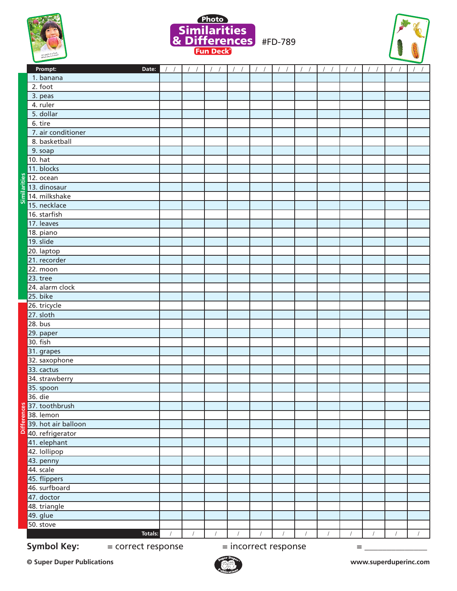





|    | Prompt:<br>Date:                         | $\frac{1}{2}$ | $\frac{1}{2}$ | $\frac{1}{2}$ | $\frac{1}{2}$ | $\frac{1}{2}$        | $\frac{1}{2}$ | $\frac{1}{2}$ | $\frac{1}{2}$ | $\frac{1}{2}$ | $\frac{1}{2}$ | $\frac{1}{2}$ | 11 |
|----|------------------------------------------|---------------|---------------|---------------|---------------|----------------------|---------------|---------------|---------------|---------------|---------------|---------------|----|
|    | 1. banana                                |               |               |               |               |                      |               |               |               |               |               |               |    |
|    | 2. foot                                  |               |               |               |               |                      |               |               |               |               |               |               |    |
|    | 3. peas                                  |               |               |               |               |                      |               |               |               |               |               |               |    |
|    | 4. ruler                                 |               |               |               |               |                      |               |               |               |               |               |               |    |
|    | 5. dollar                                |               |               |               |               |                      |               |               |               |               |               |               |    |
|    | 6. tire                                  |               |               |               |               |                      |               |               |               |               |               |               |    |
|    | 7. air conditioner                       |               |               |               |               |                      |               |               |               |               |               |               |    |
|    | 8. basketball                            |               |               |               |               |                      |               |               |               |               |               |               |    |
|    | 9. soap                                  |               |               |               |               |                      |               |               |               |               |               |               |    |
|    | 10. hat                                  |               |               |               |               |                      |               |               |               |               |               |               |    |
|    | 11. blocks                               |               |               |               |               |                      |               |               |               |               |               |               |    |
|    |                                          |               |               |               |               |                      |               |               |               |               |               |               |    |
|    |                                          |               |               |               |               |                      |               |               |               |               |               |               |    |
|    | E 14. milkshake                          |               |               |               |               |                      |               |               |               |               |               |               |    |
|    | 15. necklace                             |               |               |               |               |                      |               |               |               |               |               |               |    |
|    | 16. starfish                             |               |               |               |               |                      |               |               |               |               |               |               |    |
|    | 17. leaves                               |               |               |               |               |                      |               |               |               |               |               |               |    |
|    | 18. piano                                |               |               |               |               |                      |               |               |               |               |               |               |    |
|    | 19. slide                                |               |               |               |               |                      |               |               |               |               |               |               |    |
|    | 20. laptop                               |               |               |               |               |                      |               |               |               |               |               |               |    |
|    | 21. recorder                             |               |               |               |               |                      |               |               |               |               |               |               |    |
|    | 22. moon                                 |               |               |               |               |                      |               |               |               |               |               |               |    |
|    | 23. tree                                 |               |               |               |               |                      |               |               |               |               |               |               |    |
|    | 24. alarm clock                          |               |               |               |               |                      |               |               |               |               |               |               |    |
|    | 25. bike                                 |               |               |               |               |                      |               |               |               |               |               |               |    |
|    | 26. tricycle                             |               |               |               |               |                      |               |               |               |               |               |               |    |
|    | 27. sloth                                |               |               |               |               |                      |               |               |               |               |               |               |    |
|    | 28. bus                                  |               |               |               |               |                      |               |               |               |               |               |               |    |
|    | 29. paper                                |               |               |               |               |                      |               |               |               |               |               |               |    |
|    | 30. fish                                 |               |               |               |               |                      |               |               |               |               |               |               |    |
|    | 31. grapes                               |               |               |               |               |                      |               |               |               |               |               |               |    |
|    | 32. saxophone                            |               |               |               |               |                      |               |               |               |               |               |               |    |
|    | 33. cactus                               |               |               |               |               |                      |               |               |               |               |               |               |    |
|    | 34. strawberry                           |               |               |               |               |                      |               |               |               |               |               |               |    |
|    | 35. spoon                                |               |               |               |               |                      |               |               |               |               |               |               |    |
|    | 36. die                                  |               |               |               |               |                      |               |               |               |               |               |               |    |
|    | 8 37. toothbrush                         |               |               |               |               |                      |               |               |               |               |               |               |    |
| e۶ | 38. lemon                                |               |               |               |               |                      |               |               |               |               |               |               |    |
| ₽  | 39. hot air balloon                      |               |               |               |               |                      |               |               |               |               |               |               |    |
| ۵  | 40. refrigerator                         |               |               |               |               |                      |               |               |               |               |               |               |    |
|    | 41. elephant                             |               |               |               |               |                      |               |               |               |               |               |               |    |
|    | 42. lollipop                             |               |               |               |               |                      |               |               |               |               |               |               |    |
|    | 43. penny                                |               |               |               |               |                      |               |               |               |               |               |               |    |
|    | 44. scale                                |               |               |               |               |                      |               |               |               |               |               |               |    |
|    | 45. flippers                             |               |               |               |               |                      |               |               |               |               |               |               |    |
|    | 46. surfboard                            |               |               |               |               |                      |               |               |               |               |               |               |    |
|    | 47. doctor                               |               |               |               |               |                      |               |               |               |               |               |               |    |
|    | 48. triangle                             |               |               |               |               |                      |               |               |               |               |               |               |    |
|    | 49. glue                                 |               |               |               |               |                      |               |               |               |               |               |               |    |
|    | 50. stove                                |               |               |               |               |                      |               |               |               |               |               |               |    |
|    | <b>Totals:</b>                           |               |               |               |               |                      |               |               |               |               |               |               |    |
|    | <b>Symbol Key:</b><br>= correct response |               |               |               |               | = incorrect response |               |               |               | $=$           |               |               |    |
|    |                                          |               |               |               |               |                      |               |               |               |               |               |               |    |